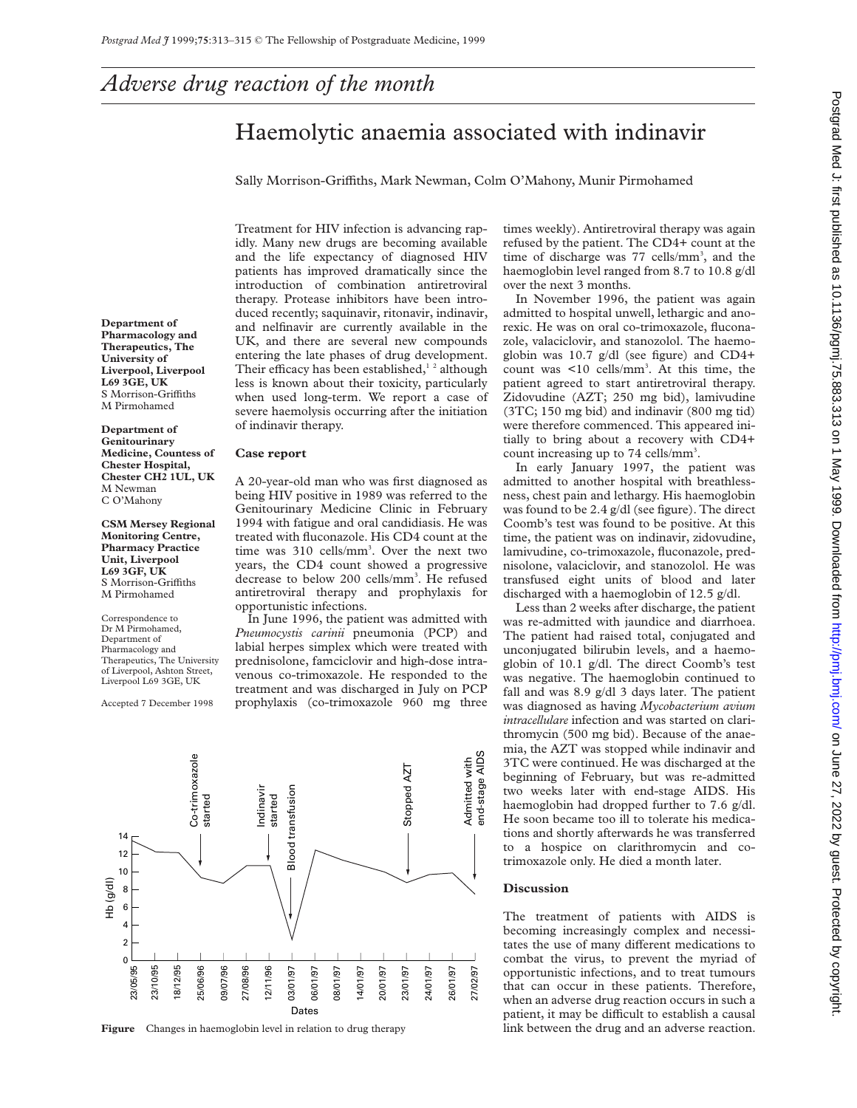# *Adverse drug reaction of the month*

## Haemolytic anaemia associated with indinavir

Sally Morrison-Griffiths, Mark Newman, Colm O'Mahony, Munir Pirmohamed

patients has improved dramatically since the introduction of combination antiretroviral therapy. Protease inhibitors have been introduced recently; saquinavir, ritonavir, indinavir, and nelfinavir are currently available in the UK, and there are several new compounds entering the late phases of drug development. Their efficacy has been established, $1^2$  although less is known about their toxicity, particularly when used long-term. We report a case of severe haemolysis occurring after the initiation of indinavir therapy.

## **Case report**

A 20-year-old man who was first diagnosed as being HIV positive in 1989 was referred to the Genitourinary Medicine Clinic in February 1994 with fatigue and oral candidiasis. He was treated with fluconazole. His CD4 count at the time was 310 cells/mm<sup>3</sup>. Over the next two years, the CD4 count showed a progressive decrease to below 200 cells/mm<sup>3</sup>. He refused antiretroviral therapy and prophylaxis for opportunistic infections.

Treatment for HIV infection is advancing rapidly. Many new drugs are becoming available and the life expectancy of diagnosed HIV

In June 1996, the patient was admitted with *Pneumocystis carinii* pneumonia (PCP) and labial herpes simplex which were treated with prednisolone, famciclovir and high-dose intravenous co-trimoxazole. He responded to the treatment and was discharged in July on PCP prophylaxis (co-trimoxazole 960 mg three

Co-trimoxazole<br>started Admitted with<br>end-stage AIDS end-stage AIDS Co-trimoxazole Admitted with Stopped AZT Stopped AZT **Blood transfusion** Indinavir Indinavir Blood transfusion started 14 12 10 Hb (g/dl) 8 6 4 2  $\overline{0}$ 18/12/95 09/07/96 24/01/97 23/05/95 23/10/95 18/12/95 25/06/96 27/08/96 12/11/96 03/01/97 06/01/97 14/01/97 20/01/97 23/01/97 26/01/97 08/01/97 27/02/97  $D_i$ 

times weekly). Antiretroviral therapy was again refused by the patient. The CD4+ count at the time of discharge was 77 cells/mm<sup>3</sup>, and the haemoglobin level ranged from 8.7 to 10.8 g/dl over the next 3 months.

In November 1996, the patient was again admitted to hospital unwell, lethargic and anorexic. He was on oral co-trimoxazole, fluconazole, valaciclovir, and stanozolol. The haemoglobin was 10.7 g/dl (see figure) and CD4+ count was <10 cells/mm<sup>3</sup>. At this time, the patient agreed to start antiretroviral therapy. Zidovudine (AZT; 250 mg bid), lamivudine (3TC; 150 mg bid) and indinavir (800 mg tid) were therefore commenced. This appeared initially to bring about a recovery with CD4+ count increasing up to 74 cells/mm<sup>3</sup>.

In early January 1997, the patient was admitted to another hospital with breathlessness, chest pain and lethargy. His haemoglobin was found to be 2.4 g/dl (see figure). The direct Coomb's test was found to be positive. At this time, the patient was on indinavir, zidovudine, lamivudine, co-trimoxazole, fluconazole, prednisolone, valaciclovir, and stanozolol. He was transfused eight units of blood and later discharged with a haemoglobin of 12.5 g/dl.

Less than 2 weeks after discharge, the patient was re-admitted with jaundice and diarrhoea. The patient had raised total, conjugated and unconjugated bilirubin levels, and a haemoglobin of 10.1 g/dl. The direct Coomb's test was negative. The haemoglobin continued to fall and was 8.9 g/dl 3 days later. The patient was diagnosed as having *Mycobacterium avium intracellulare* infection and was started on clarithromycin (500 mg bid). Because of the anaemia, the AZT was stopped while indinavir and 3TC were continued. He was discharged at the beginning of February, but was re-admitted two weeks later with end-stage AIDS. His haemoglobin had dropped further to 7.6 g/dl. He soon became too ill to tolerate his medications and shortly afterwards he was transferred to a hospice on clarithromycin and cotrimoxazole only. He died a month later.

#### **Discussion**

The treatment of patients with AIDS is becoming increasingly complex and necessitates the use of many different medications to combat the virus, to prevent the myriad of opportunistic infections, and to treat tumours that can occur in these patients. Therefore, when an adverse drug reaction occurs in such a patient, it may be difficult to establish a causal **Figure** Changes in haemoglobin level in relation to drug therapy link between the drug and an adverse reaction.

**Department of Pharmacology and Therapeutics, The University of Liverpool, Liverpool L69 3GE, UK** S Morrison-Griffiths M Pirmohamed

**Department of Genitourinary Medicine, Countess of Chester Hospital, Chester CH2 1UL, UK** M Newman C O'Mahony

**CSM Mersey Regional Monitoring Centre, Pharmacy Practice Unit, Liverpool L69 3GF, UK** S Morrison-Griffiths M Pirmohamed

Correspondence to Dr M Pirmohamed, Department of Pharmacology and Therapeutics, The University of Liverpool, Ashton Street, Liverpool L69 3GE, UK

Accepted 7 December 1998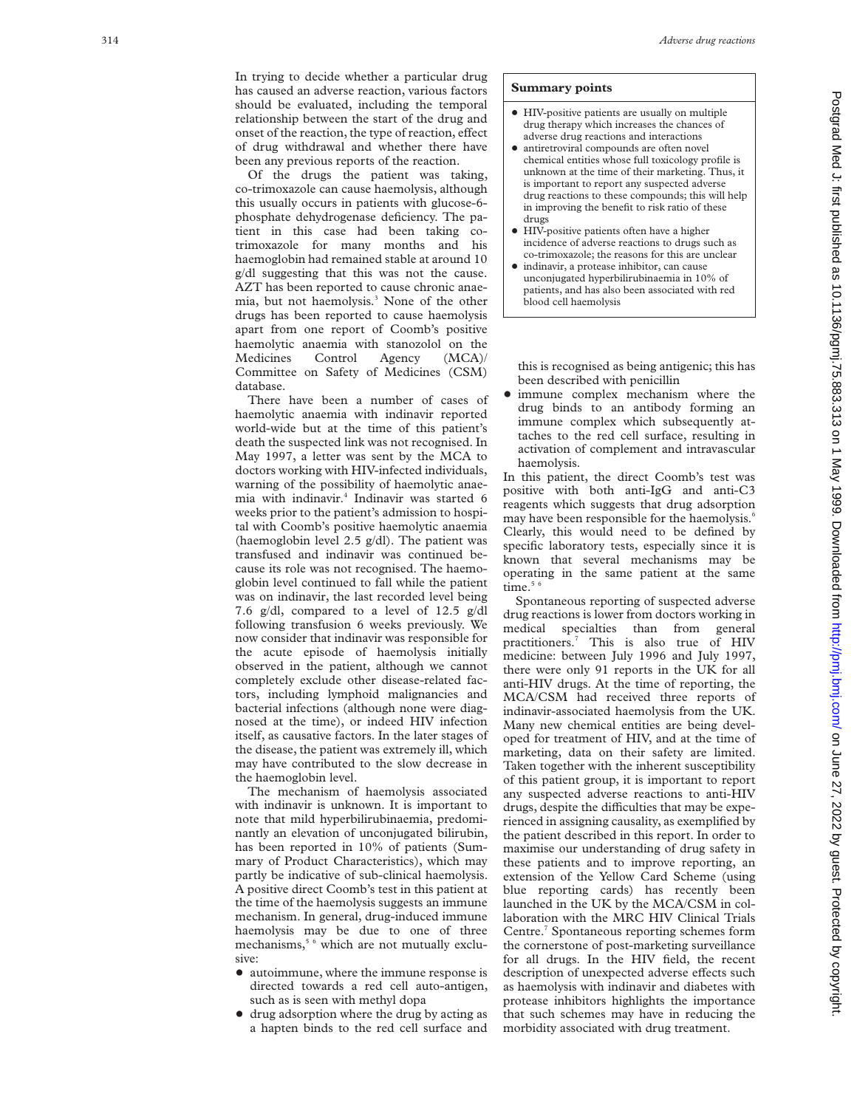In trying to decide whether a particular drug has caused an adverse reaction, various factors should be evaluated, including the temporal relationship between the start of the drug and onset of the reaction, the type of reaction, effect of drug withdrawal and whether there have been any previous reports of the reaction.

Of the drugs the patient was taking, co-trimoxazole can cause haemolysis, although this usually occurs in patients with glucose-6 phosphate dehydrogenase deficiency. The patient in this case had been taking cotrimoxazole for many months and his haemoglobin had remained stable at around 10 g/dl suggesting that this was not the cause. AZT has been reported to cause chronic anaemia, but not haemolysis.3 None of the other drugs has been reported to cause haemolysis apart from one report of Coomb's positive haemolytic anaemia with stanozolol on the Medicines Control Agency (MCA)/ Committee on Safety of Medicines (CSM) database.

There have been a number of cases of haemolytic anaemia with indinavir reported world-wide but at the time of this patient's death the suspected link was not recognised. In May 1997, a letter was sent by the MCA to doctors working with HIV-infected individuals, warning of the possibility of haemolytic anaemia with indinavir.4 Indinavir was started 6 weeks prior to the patient's admission to hospital with Coomb's positive haemolytic anaemia (haemoglobin level 2.5 g/dl). The patient was transfused and indinavir was continued because its role was not recognised. The haemoglobin level continued to fall while the patient was on indinavir, the last recorded level being 7.6 g/dl, compared to a level of 12.5 g/dl following transfusion 6 weeks previously. We now consider that indinavir was responsible for the acute episode of haemolysis initially observed in the patient, although we cannot completely exclude other disease-related factors, including lymphoid malignancies and bacterial infections (although none were diagnosed at the time), or indeed HIV infection itself, as causative factors. In the later stages of the disease, the patient was extremely ill, which may have contributed to the slow decrease in the haemoglobin level.

The mechanism of haemolysis associated with indinavir is unknown. It is important to note that mild hyperbilirubinaemia, predominantly an elevation of unconjugated bilirubin, has been reported in 10% of patients (Summary of Product Characteristics), which may partly be indicative of sub-clinical haemolysis. A positive direct Coomb's test in this patient at the time of the haemolysis suggests an immune mechanism. In general, drug-induced immune haemolysis may be due to one of three mechanisms,<sup>5 6</sup> which are not mutually exclusive:

- autoimmune, where the immune response is directed towards a red cell auto-antigen, such as is seen with methyl dopa
- + drug adsorption where the drug by acting as a hapten binds to the red cell surface and

## **Summary points**

- + HIV-positive patients are usually on multiple drug therapy which increases the chances of adverse drug reactions and interactions
- antiretroviral compounds are often novel chemical entities whose full toxicology profile is unknown at the time of their marketing. Thus, it is important to report any suspected adverse drug reactions to these compounds; this will help in improving the benefit to risk ratio of these drugs
- + HIV-positive patients often have a higher incidence of adverse reactions to drugs such as co-trimoxazole; the reasons for this are unclear
- $\bullet$  indinavir, a protease inhibitor, can cause unconjugated hyperbilirubinaemia in 10% of patients, and has also been associated with red blood cell haemolysis

this is recognised as being antigenic; this has been described with penicillin

• immune complex mechanism where the drug binds to an antibody forming an immune complex which subsequently attaches to the red cell surface, resulting in activation of complement and intravascular haemolysis.

In this patient, the direct Coomb's test was positive with both anti-IgG and anti-C3 reagents which suggests that drug adsorption may have been responsible for the haemolysis. 6 Clearly, this would need to be defined by specific laboratory tests, especially since it is known that several mechanisms may be operating in the same patient at the same time. $56$ 

Spontaneous reporting of suspected adverse drug reactions is lower from doctors working in medical specialties than from general practitioners. <sup>7</sup> This is also true of HIV medicine: between July 1996 and July 1997, there were only 91 reports in the UK for all anti-HIV drugs. At the time of reporting, the MCA/CSM had received three reports of indinavir-associated haemolysis from the UK. Many new chemical entities are being developed for treatment of HIV, and at the time of marketing, data on their safety are limited. Taken together with the inherent susceptibility of this patient group, it is important to report any suspected adverse reactions to anti-HIV drugs, despite the difficulties that may be experienced in assigning causality, as exemplified by the patient described in this report. In order to maximise our understanding of drug safety in these patients and to improve reporting, an extension of the Yellow Card Scheme (using blue reporting cards) has recently been launched in the UK by the MCA/CSM in collaboration with the MRC HIV Clinical Trials Centre. <sup>7</sup> Spontaneous reporting schemes form the cornerstone of post-marketing surveillance for all drugs. In the HIV field, the recent description of unexpected adverse effects such as haemolysis with indinavir and diabetes with protease inhibitors highlights the importance that such schemes may have in reducing the morbidity associated with drug treatment.